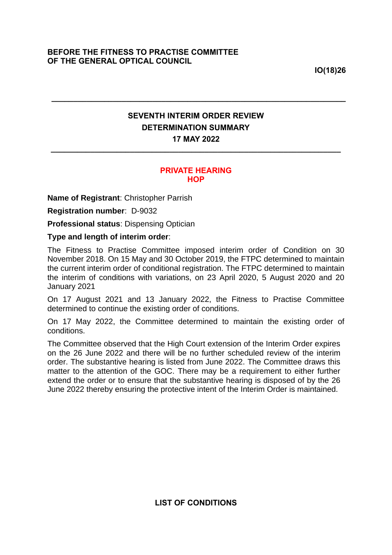**IO(18)26**

## **SEVENTH INTERIM ORDER REVIEW DETERMINATION SUMMARY 17 MAY 2022**

**\_\_\_\_\_\_\_\_\_\_\_\_\_\_\_\_\_\_\_\_\_\_\_\_\_\_\_\_\_\_\_\_\_\_\_\_\_\_\_\_\_\_\_\_\_\_\_\_\_\_\_\_\_\_\_\_\_\_\_\_\_\_\_\_\_\_**

**\_\_\_\_\_\_\_\_\_\_\_\_\_\_\_\_\_\_\_\_\_\_\_\_\_\_\_\_\_\_\_\_\_\_\_\_\_\_\_\_\_\_\_\_\_\_\_\_\_\_\_\_\_\_\_\_\_\_\_\_\_\_\_\_\_\_\_**

## **PRIVATE HEARING HOP**

**Name of Registrant**: Christopher Parrish

**Registration number**: D-9032

**Professional status**: Dispensing Optician

## **Type and length of interim order**:

The Fitness to Practise Committee imposed interim order of Condition on 30 November 2018. On 15 May and 30 October 2019, the FTPC determined to maintain the current interim order of conditional registration. The FTPC determined to maintain the interim of conditions with variations, on 23 April 2020, 5 August 2020 and 20 January 2021

On 17 August 2021 and 13 January 2022, the Fitness to Practise Committee determined to continue the existing order of conditions.

On 17 May 2022, the Committee determined to maintain the existing order of conditions.

The Committee observed that the High Court extension of the Interim Order expires on the 26 June 2022 and there will be no further scheduled review of the interim order. The substantive hearing is listed from June 2022. The Committee draws this matter to the attention of the GOC. There may be a requirement to either further extend the order or to ensure that the substantive hearing is disposed of by the 26 June 2022 thereby ensuring the protective intent of the Interim Order is maintained.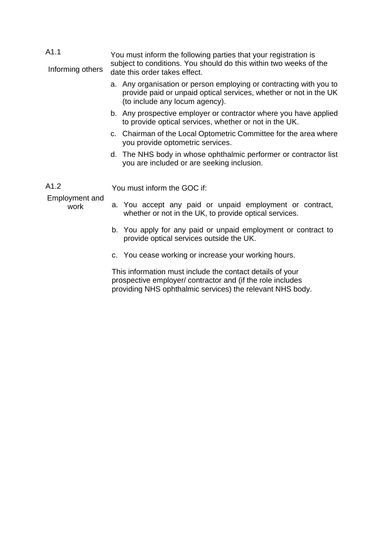| A1.1                                  | You must inform the following parties that your registration is                                                                                                                      |  |
|---------------------------------------|--------------------------------------------------------------------------------------------------------------------------------------------------------------------------------------|--|
| Informing others                      | subject to conditions. You should do this within two weeks of the<br>date this order takes effect.                                                                                   |  |
|                                       | a. Any organisation or person employing or contracting with you to<br>provide paid or unpaid optical services, whether or not in the UK<br>(to include any locum agency).            |  |
|                                       | b. Any prospective employer or contractor where you have applied<br>to provide optical services, whether or not in the UK.                                                           |  |
|                                       | c. Chairman of the Local Optometric Committee for the area where<br>you provide optometric services.                                                                                 |  |
|                                       | d. The NHS body in whose ophthalmic performer or contractor list<br>you are included or are seeking inclusion.                                                                       |  |
| A1.2<br><b>Employment and</b><br>work | You must inform the GOC if:                                                                                                                                                          |  |
|                                       | a. You accept any paid or unpaid employment or contract,<br>whether or not in the UK, to provide optical services.                                                                   |  |
|                                       | b. You apply for any paid or unpaid employment or contract to<br>provide optical services outside the UK.                                                                            |  |
|                                       | c. You cease working or increase your working hours.                                                                                                                                 |  |
|                                       | This information must include the contact details of your<br>prospective employer/ contractor and (if the role includes<br>providing NHS ophthalmic services) the relevant NHS body. |  |
|                                       |                                                                                                                                                                                      |  |
|                                       |                                                                                                                                                                                      |  |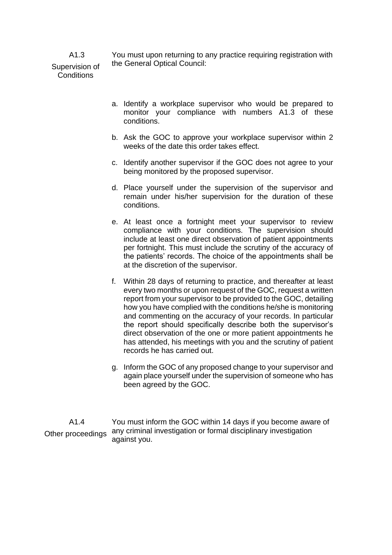You must upon returning to any practice requiring registration with the General Optical Council:

Supervision of **Conditions** 

A1.3

- a. Identify a workplace supervisor who would be prepared to monitor your compliance with numbers A1.3 of these conditions.
- b. Ask the GOC to approve your workplace supervisor within 2 weeks of the date this order takes effect.
- c. Identify another supervisor if the GOC does not agree to your being monitored by the proposed supervisor.
- d. Place yourself under the supervision of the supervisor and remain under his/her supervision for the duration of these conditions.
- e. At least once a fortnight meet your supervisor to review compliance with your conditions. The supervision should include at least one direct observation of patient appointments per fortnight. This must include the scrutiny of the accuracy of the patients' records. The choice of the appointments shall be at the discretion of the supervisor.
- f. Within 28 days of returning to practice, and thereafter at least every two months or upon request of the GOC, request a written report from your supervisor to be provided to the GOC, detailing how you have complied with the conditions he/she is monitoring and commenting on the accuracy of your records. In particular the report should specifically describe both the supervisor's direct observation of the one or more patient appointments he has attended, his meetings with you and the scrutiny of patient records he has carried out.
- g. Inform the GOC of any proposed change to your supervisor and again place yourself under the supervision of someone who has been agreed by the GOC.

A1.4 Other proceedings You must inform the GOC within 14 days if you become aware of any criminal investigation or formal disciplinary investigation against you.